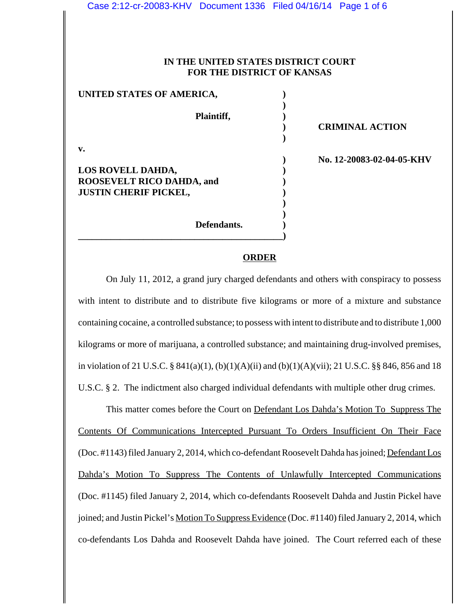| Case 2:12-cr-20083-KHV  Document 1336  Filed 04/16/14  Page 1 of 6 |                                                                          |                           |
|--------------------------------------------------------------------|--------------------------------------------------------------------------|---------------------------|
|                                                                    |                                                                          |                           |
|                                                                    |                                                                          |                           |
|                                                                    | IN THE UNITED STATES DISTRICT COURT<br><b>FOR THE DISTRICT OF KANSAS</b> |                           |
|                                                                    |                                                                          |                           |
| UNITED STATES OF AMERICA,                                          |                                                                          |                           |
|                                                                    | Plaintiff,                                                               |                           |
|                                                                    |                                                                          | <b>CRIMINAL ACTION</b>    |
| $\mathbf{v}$ .                                                     |                                                                          |                           |
|                                                                    |                                                                          | No. 12-20083-02-04-05-KHV |
| LOS ROVELL DAHDA,                                                  |                                                                          |                           |
| <b>ROOSEVELT RICO DAHDA, and</b><br><b>JUSTIN CHERIF PICKEL,</b>   |                                                                          |                           |
|                                                                    |                                                                          |                           |
|                                                                    | Defendants.                                                              |                           |
|                                                                    |                                                                          |                           |

#### **ORDER**

On July 11, 2012, a grand jury charged defendants and others with conspiracy to possess with intent to distribute and to distribute five kilograms or more of a mixture and substance containing cocaine, a controlled substance; to possess with intent to distribute and to distribute 1,000 kilograms or more of marijuana, a controlled substance; and maintaining drug-involved premises, in violation of 21 U.S.C. § 841(a)(1), (b)(1)(A)(ii) and (b)(1)(A)(vii); 21 U.S.C. §§ 846, 856 and 18 U.S.C. § 2. The indictment also charged individual defendants with multiple other drug crimes.

This matter comes before the Court on Defendant Los Dahda's Motion To Suppress The Contents Of Communications Intercepted Pursuant To Orders Insufficient On Their Face (Doc. #1143) filed January 2, 2014, which co-defendant Roosevelt Dahda has joined; Defendant Los Dahda's Motion To Suppress The Contents of Unlawfully Intercepted Communications (Doc. #1145) filed January 2, 2014, which co-defendants Roosevelt Dahda and Justin Pickel have joined; and Justin Pickel's Motion To Suppress Evidence (Doc. #1140) filed January 2, 2014, which co-defendants Los Dahda and Roosevelt Dahda have joined. The Court referred each of these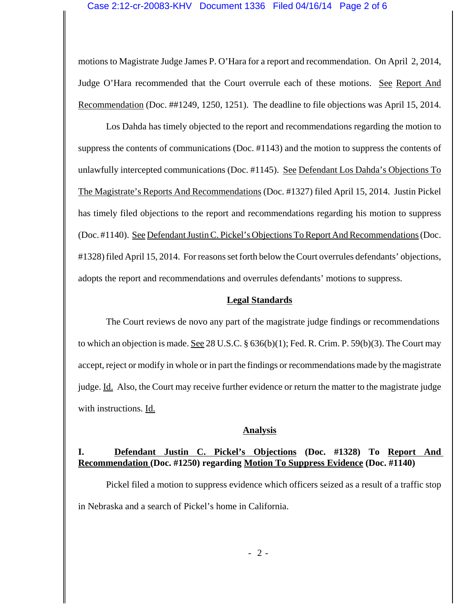motions to Magistrate Judge James P. O'Hara for a report and recommendation. On April 2, 2014, Judge O'Hara recommended that the Court overrule each of these motions. See Report And Recommendation (Doc. ##1249, 1250, 1251). The deadline to file objections was April 15, 2014.

Los Dahda has timely objected to the report and recommendations regarding the motion to suppress the contents of communications (Doc. #1143) and the motion to suppress the contents of unlawfully intercepted communications (Doc. #1145). See Defendant Los Dahda's Objections To The Magistrate's Reports And Recommendations (Doc. #1327) filed April 15, 2014. Justin Pickel has timely filed objections to the report and recommendations regarding his motion to suppress (Doc. #1140). See Defendant Justin C. Pickel's Objections To Report And Recommendations (Doc. #1328) filed April 15, 2014. For reasons set forth below the Court overrules defendants' objections, adopts the report and recommendations and overrules defendants' motions to suppress.

### **Legal Standards**

The Court reviews de novo any part of the magistrate judge findings or recommendations to which an objection is made. See 28 U.S.C. §  $636(b)(1)$ ; Fed. R. Crim. P. 59(b)(3). The Court may accept, reject or modify in whole or in part the findings or recommendations made by the magistrate judge. Id. Also, the Court may receive further evidence or return the matter to the magistrate judge with instructions. Id.

#### **Analysis**

# **I. Defendant Justin C. Pickel's Objections (Doc. #1328) To Report And Recommendation (Doc. #1250) regarding Motion To Suppress Evidence (Doc. #1140)**

Pickel filed a motion to suppress evidence which officers seized as a result of a traffic stop in Nebraska and a search of Pickel's home in California.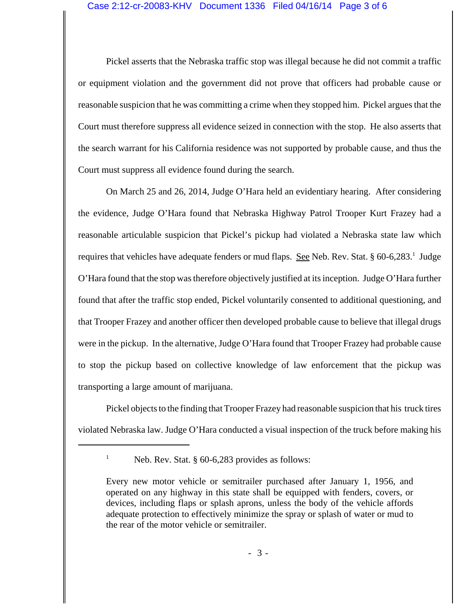Pickel asserts that the Nebraska traffic stop was illegal because he did not commit a traffic or equipment violation and the government did not prove that officers had probable cause or reasonable suspicion that he was committing a crime when they stopped him. Pickel argues that the Court must therefore suppress all evidence seized in connection with the stop. He also asserts that the search warrant for his California residence was not supported by probable cause, and thus the Court must suppress all evidence found during the search.

On March 25 and 26, 2014, Judge O'Hara held an evidentiary hearing. After considering the evidence, Judge O'Hara found that Nebraska Highway Patrol Trooper Kurt Frazey had a reasonable articulable suspicion that Pickel's pickup had violated a Nebraska state law which requires that vehicles have adequate fenders or mud flaps. See Neb. Rev. Stat. § 60-6,283.<sup>1</sup> Judge O'Hara found that the stop was therefore objectively justified at its inception. Judge O'Hara further found that after the traffic stop ended, Pickel voluntarily consented to additional questioning, and that Trooper Frazey and another officer then developed probable cause to believe that illegal drugs were in the pickup. In the alternative, Judge O'Hara found that Trooper Frazey had probable cause to stop the pickup based on collective knowledge of law enforcement that the pickup was transporting a large amount of marijuana.

Pickel objects to the finding that Trooper Frazey had reasonable suspicion that his truck tires violated Nebraska law. Judge O'Hara conducted a visual inspection of the truck before making his

Neb. Rev. Stat. § 60-6,283 provides as follows:

Every new motor vehicle or semitrailer purchased after January 1, 1956, and operated on any highway in this state shall be equipped with fenders, covers, or devices, including flaps or splash aprons, unless the body of the vehicle affords adequate protection to effectively minimize the spray or splash of water or mud to the rear of the motor vehicle or semitrailer.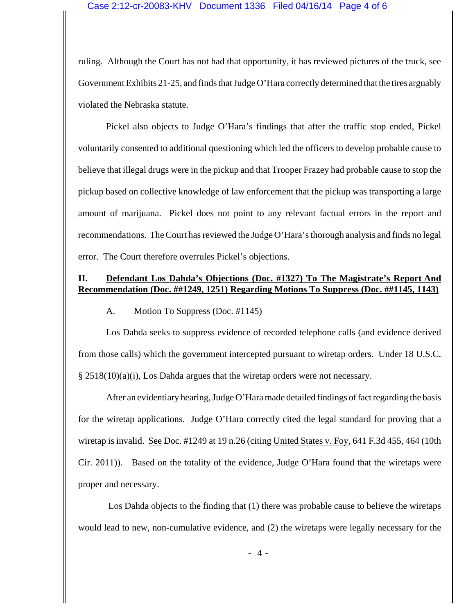ruling. Although the Court has not had that opportunity, it has reviewed pictures of the truck, see Government Exhibits 21-25, and finds that Judge O'Hara correctly determined that the tires arguably violated the Nebraska statute.

Pickel also objects to Judge O'Hara's findings that after the traffic stop ended, Pickel voluntarily consented to additional questioning which led the officers to develop probable cause to believe that illegal drugs were in the pickup and that Trooper Frazey had probable cause to stop the pickup based on collective knowledge of law enforcement that the pickup was transporting a large amount of marijuana. Pickel does not point to any relevant factual errors in the report and recommendations. The Court has reviewed the Judge O'Hara's thorough analysis and finds no legal error. The Court therefore overrules Pickel's objections.

## **II. Defendant Los Dahda's Objections (Doc. #1327) To The Magistrate's Report And Recommendation (Doc. ##1249, 1251) Regarding Motions To Suppress (Doc. ##1145, 1143)**

A. Motion To Suppress (Doc. #1145)

Los Dahda seeks to suppress evidence of recorded telephone calls (and evidence derived from those calls) which the government intercepted pursuant to wiretap orders. Under 18 U.S.C. § 2518(10)(a)(i), Los Dahda argues that the wiretap orders were not necessary.

After an evidentiary hearing, Judge O'Hara made detailed findings of fact regarding the basis for the wiretap applications. Judge O'Hara correctly cited the legal standard for proving that a wiretap is invalid. See Doc. #1249 at 19 n.26 (citing United States v. Foy, 641 F.3d 455, 464 (10th Cir. 2011)). Based on the totality of the evidence, Judge O'Hara found that the wiretaps were proper and necessary.

 Los Dahda objects to the finding that (1) there was probable cause to believe the wiretaps would lead to new, non-cumulative evidence, and (2) the wiretaps were legally necessary for the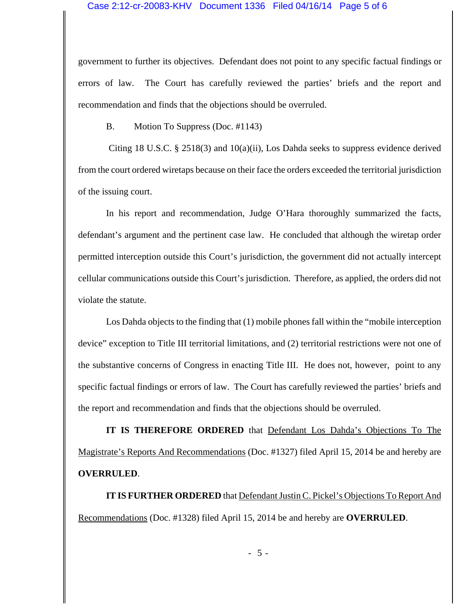government to further its objectives. Defendant does not point to any specific factual findings or errors of law. The Court has carefully reviewed the parties' briefs and the report and recommendation and finds that the objections should be overruled.

B. Motion To Suppress (Doc. #1143)

 Citing 18 U.S.C. § 2518(3) and 10(a)(ii), Los Dahda seeks to suppress evidence derived from the court ordered wiretaps because on their face the orders exceeded the territorial jurisdiction of the issuing court.

In his report and recommendation, Judge O'Hara thoroughly summarized the facts, defendant's argument and the pertinent case law. He concluded that although the wiretap order permitted interception outside this Court's jurisdiction, the government did not actually intercept cellular communications outside this Court's jurisdiction. Therefore, as applied, the orders did not violate the statute.

Los Dahda objects to the finding that (1) mobile phones fall within the "mobile interception device" exception to Title III territorial limitations, and (2) territorial restrictions were not one of the substantive concerns of Congress in enacting Title III. He does not, however, point to any specific factual findings or errors of law. The Court has carefully reviewed the parties' briefs and the report and recommendation and finds that the objections should be overruled.

**IT IS THEREFORE ORDERED** that Defendant Los Dahda's Objections To The Magistrate's Reports And Recommendations (Doc. #1327) filed April 15, 2014 be and hereby are **OVERRULED**.

**IT IS FURTHER ORDERED** that Defendant Justin C. Pickel's Objections To Report And Recommendations (Doc. #1328) filed April 15, 2014 be and hereby are **OVERRULED**.